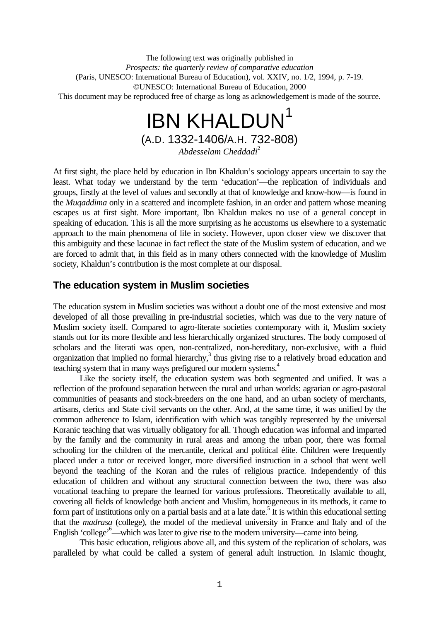The following text was originally published in *Prospects: the quarterly review of comparative education* (Paris, UNESCO: International Bureau of Education), vol. XXIV, no. 1/2, 1994, p. 7-19. ©UNESCO: International Bureau of Education, 2000 This document may be reproduced free of charge as long as acknowledgement is made of the source.

# **IBN KHALDUN<sup>1</sup>** (A.D. 1332-1406/A.H. 732-808)

*Abdesselam Cheddadi*<sup>2</sup>

At first sight, the place held by education in Ibn Khaldun's sociology appears uncertain to say the least. What today we understand by the term 'education'—the replication of individuals and groups, firstly at the level of values and secondly at that of knowledge and know-how—is found in the *Muqaddima* only in a scattered and incomplete fashion, in an order and pattern whose meaning escapes us at first sight. More important, Ibn Khaldun makes no use of a general concept in speaking of education. This is all the more surprising as he accustoms us elsewhere to a systematic approach to the main phenomena of life in society. However, upon closer view we discover that this ambiguity and these lacunae in fact reflect the state of the Muslim system of education, and we are forced to admit that, in this field as in many others connected with the knowledge of Muslim society, Khaldun's contribution is the most complete at our disposal.

# **The education system in Muslim societies**

The education system in Muslim societies was without a doubt one of the most extensive and most developed of all those prevailing in pre-industrial societies, which was due to the very nature of Muslim society itself. Compared to agro-literate societies contemporary with it, Muslim society stands out for its more flexible and less hierarchically organized structures. The body composed of scholars and the literati was open, non-centralized, non-hereditary, non-exclusive, with a fluid organization that implied no formal hierarchy,<sup>3</sup> thus giving rise to a relatively broad education and teaching system that in many ways prefigured our modern systems.<sup>4</sup>

Like the society itself, the education system was both segmented and unified. It was a reflection of the profound separation between the rural and urban worlds: agrarian or agro-pastoral communities of peasants and stock-breeders on the one hand, and an urban society of merchants, artisans, clerics and State civil servants on the other. And, at the same time, it was unified by the common adherence to Islam, identification with which was tangibly represented by the universal Koranic teaching that was virtually obligatory for all. Though education was informal and imparted by the family and the community in rural areas and among the urban poor, there was formal schooling for the children of the mercantile, clerical and political élite. Children were frequently placed under a tutor or received longer, more diversified instruction in a school that went well beyond the teaching of the Koran and the rules of religious practice. Independently of this education of children and without any structural connection between the two, there was also vocational teaching to prepare the learned for various professions. Theoretically available to all, covering all fields of knowledge both ancient and Muslim, homogeneous in its methods, it came to form part of institutions only on a partial basis and at a late date.<sup>5</sup> It is within this educational setting that the *madrasa* (college), the model of the medieval university in France and Italy and of the English 'college'<sup>6</sup>—which was later to give rise to the modern university—came into being.

This basic education, religious above all, and this system of the replication of scholars, was paralleled by what could be called a system of general adult instruction. In Islamic thought,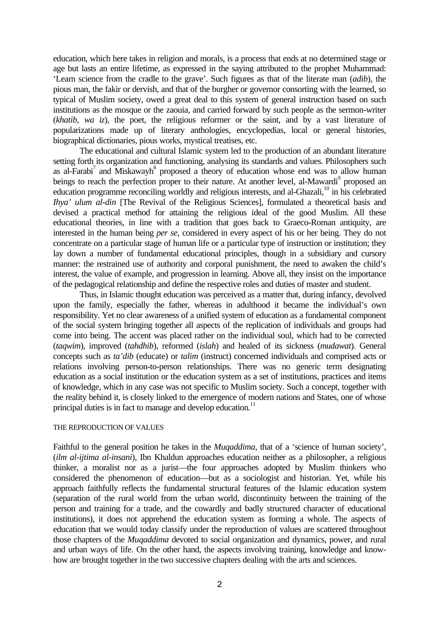education, which here takes in religion and morals, is a process that ends at no determined stage or age but lasts an entire lifetime, as expressed in the saying attributed to the prophet Muhammad: 'Learn science from the cradle to the grave'. Such figures as that of the literate man (*adib*), the pious man, the fakir or dervish, and that of the burgher or governor consorting with the learned, so typical of Muslim society, owed a great deal to this system of general instruction based on such institutions as the mosque or the zaouia, and carried forward by such people as the sermon-writer (*khatib*, *wa iz*), the poet, the religious reformer or the saint, and by a vast literature of popularizations made up of literary anthologies, encyclopedias, local or general histories, biographical dictionaries, pious works, mystical treatises, etc.

The educational and cultural Islamic system led to the production of an abundant literature setting forth its organization and functioning, analysing its standards and values. Philosophers such as al-Farabi<sup>7</sup> and Miskawayh<sup>8</sup> proposed a theory of education whose end was to allow human beings to reach the perfection proper to their nature. At another level, al-Mawardi<sup>9</sup> proposed an education programme reconciling worldly and religious interests, and al-Ghazali,<sup>10</sup> in his celebrated *Ihya' ulum al-din* [The Revival of the Religious Sciences], formulated a theoretical basis and devised a practical method for attaining the religious ideal of the good Muslim. All these educational theories, in line with a tradition that goes back to Graeco-Roman antiquity, are interested in the human being *per se*, considered in every aspect of his or her being. They do not concentrate on a particular stage of human life or a particular type of instruction or institution; they lay down a number of fundamental educational principles, though in a subsidiary and cursory manner: the restrained use of authority and corporal punishment, the need to awaken the child's interest, the value of example, and progression in learning. Above all, they insist on the importance of the pedagogical relationship and define the respective roles and duties of master and student.

Thus, in Islamic thought education was perceived as a matter that, during infancy, devolved upon the family, especially the father, whereas in adulthood it became the individual's own responsibility. Yet no clear awareness of a unified system of education as a fundamental component of the social system bringing together all aspects of the replication of individuals and groups had come into being. The accent was placed rather on the individual soul, which had to be corrected (*taqwim*), improved (*tahdhib*), reformed (*islah*) and healed of its sickness (*mudawat*). General concepts such as *ta'dib* (educate) or *talim* (instruct) concerned individuals and comprised acts or relations involving person-to-person relationships. There was no generic term designating education as a social institution or the education system as a set of institutions, practices and items of knowledge, which in any case was not specific to Muslim society. Such a concept, together with the reality behind it, is closely linked to the emergence of modern nations and States, one of whose principal duties is in fact to manage and develop education.<sup>11</sup>

### THE REPRODUCTION OF VALUES

Faithful to the general position he takes in the *Muqaddima*, that of a 'science of human society', (*ilm al-ijtima al-insani*), Ibn Khaldun approaches education neither as a philosopher, a religious thinker, a moralist nor as a jurist—the four approaches adopted by Muslim thinkers who considered the phenomenon of education—but as a sociologist and historian. Yet, while his approach faithfully reflects the fundamental structural features of the Islamic education system (separation of the rural world from the urban world, discontinuity between the training of the person and training for a trade, and the cowardly and badly structured character of educational institutions), it does not apprehend the education system as forming a whole. The aspects of education that we would today classify under the reproduction of values are scattered throughout those chapters of the *Muqaddima* devoted to social organization and dynamics, power, and rural and urban ways of life. On the other hand, the aspects involving training, knowledge and knowhow are brought together in the two successive chapters dealing with the arts and sciences.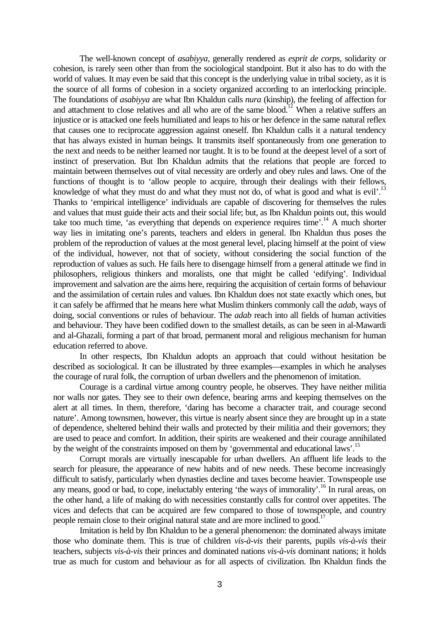The well-known concept of *asabiyya*, generally rendered as *esprit de corps*, solidarity or cohesion, is rarely seen other than from the sociological standpoint. But it also has to do with the world of values. It may even be said that this concept is the underlying value in tribal society, as it is the source of all forms of cohesion in a society organized according to an interlocking principle. The foundations of *asabiyya* are what Ibn Khaldun calls *nura* (kinship), the feeling of affection for and attachment to close relatives and all who are of the same blood.<sup>12</sup> When a relative suffers an injustice or is attacked one feels humiliated and leaps to his or her defence in the same natural reflex that causes one to reciprocate aggression against oneself. Ibn Khaldun calls it a natural tendency that has always existed in human beings. It transmits itself spontaneously from one generation to the next and needs to be neither learned nor taught. It is to be found at the deepest level of a sort of instinct of preservation. But Ibn Khaldun admits that the relations that people are forced to maintain between themselves out of vital necessity are orderly and obey rules and laws. One of the functions of thought is to 'allow people to acquire, through their dealings with their fellows, knowledge of what they must do and what they must not do, of what is good and what is evil'.<sup>13</sup> Thanks to 'empirical intelligence' individuals are capable of discovering for themselves the rules and values that must guide their acts and their social life; but, as Ibn Khaldun points out, this would take too much time, 'as everything that depends on experience requires time'.<sup>14</sup> A much shorter way lies in imitating one's parents, teachers and elders in general. Ibn Khaldun thus poses the problem of the reproduction of values at the most general level, placing himself at the point of view of the individual, however, not that of society, without considering the social function of the reproduction of values as such. He fails here to disengage himself from a general attitude we find in philosophers, religious thinkers and moralists, one that might be called 'edifying'. Individual improvement and salvation are the aims here, requiring the acquisition of certain forms of behaviour and the assimilation of certain rules and values. Ibn Khaldun does not state exactly which ones, but it can safely be affirmed that he means here what Muslim thinkers commonly call the *adab*, ways of doing, social conventions or rules of behaviour. The *adab* reach into all fields of human activities and behaviour. They have been codified down to the smallest details, as can be seen in al-Mawardi and al-Ghazali, forming a part of that broad, permanent moral and religious mechanism for human education referred to above.

In other respects, Ibn Khaldun adopts an approach that could without hesitation be described as sociological. It can be illustrated by three examples—examples in which he analyses the courage of rural folk, the corruption of urban dwellers and the phenomenon of imitation.

Courage is a cardinal virtue among country people, he observes. They have neither militia nor walls nor gates. They see to their own defence, bearing arms and keeping themselves on the alert at all times. In them, therefore, 'daring has become a character trait, and courage second nature'. Among townsmen, however, this virtue is nearly absent since they are brought up in a state of dependence, sheltered behind their walls and protected by their militia and their governors; they are used to peace and comfort. In addition, their spirits are weakened and their courage annihilated by the weight of the constraints imposed on them by 'governmental and educational laws'.<sup>15</sup>

Corrupt morals are virtually inescapable for urban dwellers. An affluent life leads to the search for pleasure, the appearance of new habits and of new needs. These become increasingly difficult to satisfy, particularly when dynasties decline and taxes become heavier. Townspeople use any means, good or bad, to cope, ineluctably entering 'the ways of immorality'. <sup>16</sup> In rural areas, on the other hand, a life of making do with necessities constantly calls for control over appetites. The vices and defects that can be acquired are few compared to those of townspeople, and country people remain close to their original natural state and are more inclined to good.<sup>17</sup>

Imitation is held by Ibn Khaldun to be a general phenomenon: the dominated always imitate those who dominate them. This is true of children *vis-à-vis* their parents, pupils *vis-à-vis* their teachers, subjects *vis-à-vis* their princes and dominated nations *vis-à-vis* dominant nations; it holds true as much for custom and behaviour as for all aspects of civilization. Ibn Khaldun finds the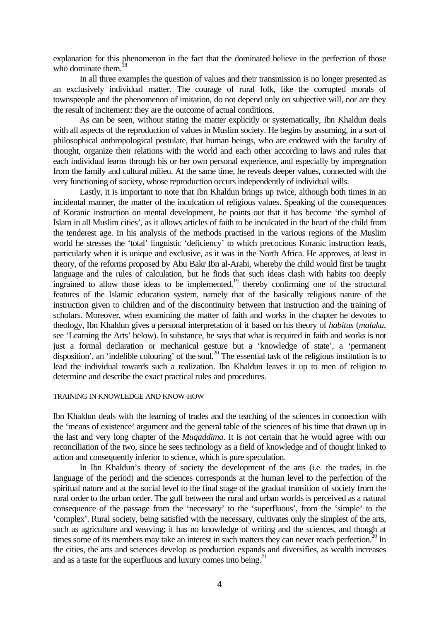explanation for this phenomenon in the fact that the dominated believe in the perfection of those who dominate them.<sup>1</sup>

In all three examples the question of values and their transmission is no longer presented as an exclusively individual matter. The courage of rural folk, like the corrupted morals of townspeople and the phenomenon of imitation, do not depend only on subjective will, nor are they the result of incitement: they are the outcome of actual conditions.

As can be seen, without stating the matter explicitly or systematically, Ibn Khaldun deals with all aspects of the reproduction of values in Muslim society. He begins by assuming, in a sort of philosophical anthropological postulate, that human beings, who are endowed with the faculty of thought, organize their relations with the world and each other according to laws and rules that each individual learns through his or her own personal experience, and especially by impregnation from the family and cultural milieu. At the same time, he reveals deeper values, connected with the very functioning of society, whose reproduction occurs independently of individual wills.

Lastly, it is important to note that Ibn Khaldun brings up twice, although both times in an incidental manner, the matter of the inculcation of religious values. Speaking of the consequences of Koranic instruction on mental development, he points out that it has become 'the symbol of Islam in all Muslim cities', as it allows articles of faith to be inculcated in the heart of the child from the tenderest age. In his analysis of the methods practised in the various regions of the Muslim world he stresses the 'total' linguistic 'deficiency' to which precocious Koranic instruction leads, particularly when it is unique and exclusive, as it was in the North Africa. He approves, at least in theory, of the reforms proposed by Abu Bakr Ibn al-Arabi, whereby the child would first be taught language and the rules of calculation, but he finds that such ideas clash with habits too deeply ingrained to allow those ideas to be implemented,<sup>19</sup> thereby confirming one of the structural features of the Islamic education system, namely that of the basically religious nature of the instruction given to children and of the discontinuity between that instruction and the training of scholars. Moreover, when examining the matter of faith and works in the chapter he devotes to theology, Ibn Khaldun gives a personal interpretation of it based on his theory of *habitus* (*malaka*, see 'Learning the Arts' below). In substance, he says that what is required in faith and works is not just a formal declaration or mechanical gesture but a 'knowledge of state', a 'permanent disposition', an 'indelible colouring' of the soul.<sup>20</sup> The essential task of the religious institution is to lead the individual towards such a realization. Ibn Khaldun leaves it up to men of religion to determine and describe the exact practical rules and procedures.

## TRAINING IN KNOWLEDGE AND KNOW-HOW

Ibn Khaldun deals with the learning of trades and the teaching of the sciences in connection with the 'means of existence' argument and the general table of the sciences of his time that drawn up in the last and very long chapter of the *Muqaddima*. It is not certain that he would agree with our reconciliation of the two, since he sees technology as a field of knowledge and of thought linked to action and consequently inferior to science, which is pure speculation.

In Ibn Khaldun's theory of society the development of the arts (i.e. the trades, in the language of the period) and the sciences corresponds at the human level to the perfection of the spiritual nature and at the social level to the final stage of the gradual transition of society from the rural order to the urban order. The gulf between the rural and urban worlds is perceived as a natural consequence of the passage from the 'necessary' to the 'superfluous', from the 'simple' to the 'complex'. Rural society, being satisfied with the necessary, cultivates only the simplest of the arts, such as agriculture and weaving; it has no knowledge of writing and the sciences, and though at times some of its members may take an interest in such matters they can never reach perfection.<sup>20</sup> In the cities, the arts and sciences develop as production expands and diversifies, as wealth increases and as a taste for the superfluous and luxury comes into being. $2<sup>1</sup>$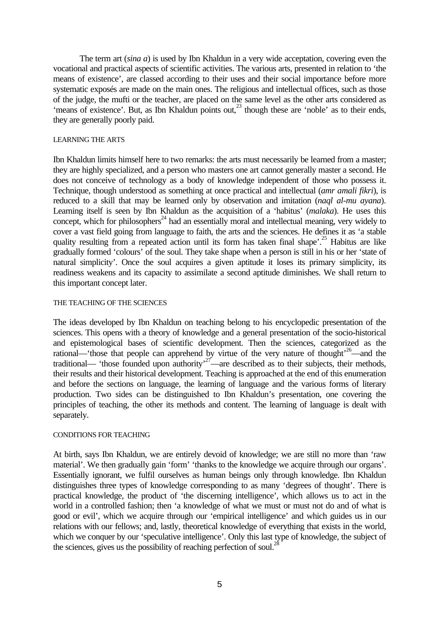The term art (*sina a*) is used by Ibn Khaldun in a very wide acceptation, covering even the vocational and practical aspects of scientific activities. The various arts, presented in relation to 'the means of existence', are classed according to their uses and their social importance before more systematic exposés are made on the main ones. The religious and intellectual offices, such as those of the judge, the mufti or the teacher, are placed on the same level as the other arts considered as 'means of existence'. But, as Ibn Khaldun points out,<sup>23</sup> though these are 'noble' as to their ends, they are generally poorly paid.

## LEARNING THE ARTS

Ibn Khaldun limits himself here to two remarks: the arts must necessarily be learned from a master; they are highly specialized, and a person who masters one art cannot generally master a second. He does not conceive of technology as a body of knowledge independent of those who possess it. Technique, though understood as something at once practical and intellectual (*amr amali fikri*), is reduced to a skill that may be learned only by observation and imitation (*naql al-mu ayana*). Learning itself is seen by Ibn Khaldun as the acquisition of a 'habitus' (*malaka*). He uses this concept, which for philosophers<sup>24</sup> had an essentially moral and intellectual meaning, very widely to cover a vast field going from language to faith, the arts and the sciences. He defines it as 'a stable quality resulting from a repeated action until its form has taken final shape'.<sup>25</sup> Habitus are like gradually formed 'colours' of the soul. They take shape when a person is still in his or her 'state of natural simplicity'. Once the soul acquires a given aptitude it loses its primary simplicity, its readiness weakens and its capacity to assimilate a second aptitude diminishes. We shall return to this important concept later.

## THE TEACHING OF THE SCIENCES

The ideas developed by Ibn Khaldun on teaching belong to his encyclopedic presentation of the sciences. This opens with a theory of knowledge and a general presentation of the socio-historical and epistemological bases of scientific development. Then the sciences, categorized as the rational—'those that people can apprehend by virtue of the very nature of thought'<sup>26</sup>—and the traditional— 'those founded upon authority'<sup>27</sup>—are described as to their subjects, their methods, their results and their historical development. Teaching is approached at the end of this enumeration and before the sections on language, the learning of language and the various forms of literary production. Two sides can be distinguished to Ibn Khaldun's presentation, one covering the principles of teaching, the other its methods and content. The learning of language is dealt with separately.

## CONDITIONS FOR TEACHING

At birth, says Ibn Khaldun, we are entirely devoid of knowledge; we are still no more than 'raw material'. We then gradually gain 'form' 'thanks to the knowledge we acquire through our organs'. Essentially ignorant, we fulfil ourselves as human beings only through knowledge. Ibn Khaldun distinguishes three types of knowledge corresponding to as many 'degrees of thought'. There is practical knowledge, the product of 'the discerning intelligence', which allows us to act in the world in a controlled fashion; then 'a knowledge of what we must or must not do and of what is good or evil', which we acquire through our 'empirical intelligence' and which guides us in our relations with our fellows; and, lastly, theoretical knowledge of everything that exists in the world, which we conquer by our 'speculative intelligence'. Only this last type of knowledge, the subject of the sciences, gives us the possibility of reaching perfection of soul.<sup>28</sup>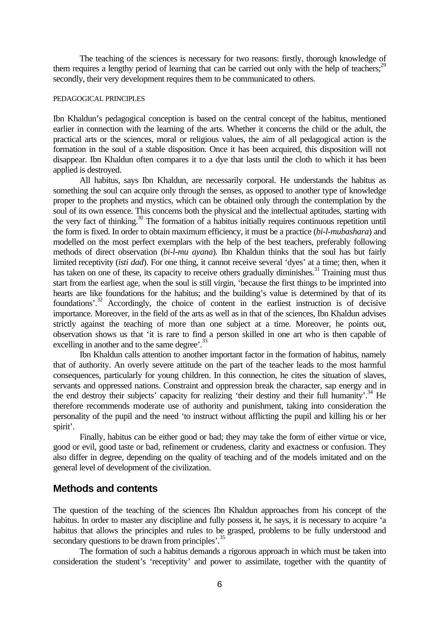The teaching of the sciences is necessary for two reasons: firstly, thorough knowledge of them requires a lengthy period of learning that can be carried out only with the help of teachers;<sup>29</sup> secondly, their very development requires them to be communicated to others.

## PEDAGOGICAL PRINCIPLES

Ibn Khaldun's pedagogical conception is based on the central concept of the habitus, mentioned earlier in connection with the learning of the arts. Whether it concerns the child or the adult, the practical arts or the sciences, moral or religious values, the aim of all pedagogical action is the formation in the soul of a stable disposition. Once it has been acquired, this disposition will not disappear. Ibn Khaldun often compares it to a dye that lasts until the cloth to which it has been applied is destroyed.

All habitus, says Ibn Khaldun, are necessarily corporal. He understands the habitus as something the soul can acquire only through the senses, as opposed to another type of knowledge proper to the prophets and mystics, which can be obtained only through the contemplation by the soul of its own essence. This concerns both the physical and the intellectual aptitudes, starting with the very fact of thinking.<sup>30</sup> The formation of a habitus initially requires continuous repetition until the form is fixed. In order to obtain maximum efficiency, it must be a practice (*bi-l-mubashara*) and modelled on the most perfect exemplars with the help of the best teachers, preferably following methods of direct observation (*bi-l-mu ayana*). Ibn Khaldun thinks that the soul has but fairly limited receptivity (*isti dad*). For one thing, it cannot receive several 'dyes' at a time; then, when it has taken on one of these, its capacity to receive others gradually diminishes.<sup>31</sup> Training must thus start from the earliest age, when the soul is still virgin, 'because the first things to be imprinted into hearts are like foundations for the habitus; and the building's value is determined by that of its foundations'.<sup>32</sup> Accordingly, the choice of content in the earliest instruction is of decisive importance. Moreover, in the field of the arts as well as in that of the sciences, Ibn Khaldun advises strictly against the teaching of more than one subject at a time. Moreover, he points out, observation shows us that 'it is rare to find a person skilled in one art who is then capable of excelling in another and to the same degree'.<sup>33</sup>

Ibn Khaldun calls attention to another important factor in the formation of habitus, namely that of authority. An overly severe attitude on the part of the teacher leads to the most harmful consequences, particularly for young children. In this connection, he cites the situation of slaves, servants and oppressed nations. Constraint and oppression break the character, sap energy and in the end destroy their subjects' capacity for realizing 'their destiny and their full humanity'.<sup>34</sup> He therefore recommends moderate use of authority and punishment, taking into consideration the personality of the pupil and the need 'to instruct without afflicting the pupil and killing his or her spirit'.

Finally, habitus can be either good or bad; they may take the form of either virtue or vice, good or evil, good taste or bad, refinement or crudeness, clarity and exactness or confusion. They also differ in degree, depending on the quality of teaching and of the models imitated and on the general level of development of the civilization.

## **Methods and contents**

The question of the teaching of the sciences Ibn Khaldun approaches from his concept of the habitus. In order to master any discipline and fully possess it, he says, it is necessary to acquire 'a habitus that allows the principles and rules to be grasped, problems to be fully understood and secondary questions to be drawn from principles'.<sup>35</sup>

The formation of such a habitus demands a rigorous approach in which must be taken into consideration the student's 'receptivity' and power to assimilate, together with the quantity of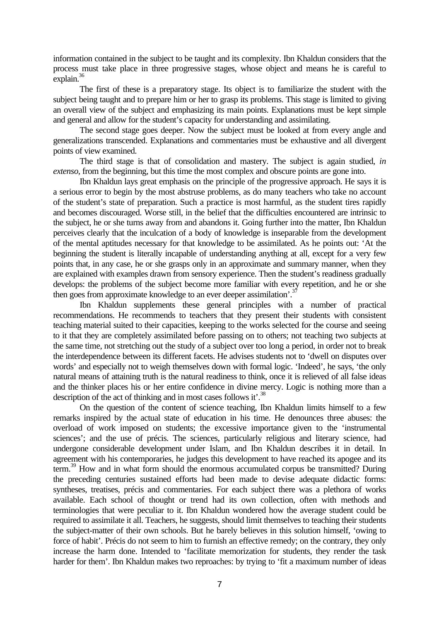information contained in the subject to be taught and its complexity. Ibn Khaldun considers that the process must take place in three progressive stages, whose object and means he is careful to  $explain.<sup>36</sup>$ 

The first of these is a preparatory stage. Its object is to familiarize the student with the subject being taught and to prepare him or her to grasp its problems. This stage is limited to giving an overall view of the subject and emphasizing its main points. Explanations must be kept simple and general and allow for the student's capacity for understanding and assimilating.

The second stage goes deeper. Now the subject must be looked at from every angle and generalizations transcended. Explanations and commentaries must be exhaustive and all divergent points of view examined.

The third stage is that of consolidation and mastery. The subject is again studied, *in extenso*, from the beginning, but this time the most complex and obscure points are gone into.

Ibn Khaldun lays great emphasis on the principle of the progressive approach. He says it is a serious error to begin by the most abstruse problems, as do many teachers who take no account of the student's state of preparation. Such a practice is most harmful, as the student tires rapidly and becomes discouraged. Worse still, in the belief that the difficulties encountered are intrinsic to the subject, he or she turns away from and abandons it. Going further into the matter, Ibn Khaldun perceives clearly that the inculcation of a body of knowledge is inseparable from the development of the mental aptitudes necessary for that knowledge to be assimilated. As he points out: 'At the beginning the student is literally incapable of understanding anything at all, except for a very few points that, in any case, he or she grasps only in an approximate and summary manner, when they are explained with examples drawn from sensory experience. Then the student's readiness gradually develops: the problems of the subject become more familiar with every repetition, and he or she then goes from approximate knowledge to an ever deeper assimilation'.<sup>37</sup>

Ibn Khaldun supplements these general principles with a number of practical recommendations. He recommends to teachers that they present their students with consistent teaching material suited to their capacities, keeping to the works selected for the course and seeing to it that they are completely assimilated before passing on to others; not teaching two subjects at the same time, not stretching out the study of a subject over too long a period, in order not to break the interdependence between its different facets. He advises students not to 'dwell on disputes over words' and especially not to weigh themselves down with formal logic. 'Indeed', he says, 'the only natural means of attaining truth is the natural readiness to think, once it is relieved of all false ideas and the thinker places his or her entire confidence in divine mercy. Logic is nothing more than a description of the act of thinking and in most cases follows it'.<sup>38</sup>

On the question of the content of science teaching, Ibn Khaldun limits himself to a few remarks inspired by the actual state of education in his time. He denounces three abuses: the overload of work imposed on students; the excessive importance given to the 'instrumental sciences'; and the use of précis. The sciences, particularly religious and literary science, had undergone considerable development under Islam, and Ibn Khaldun describes it in detail. In agreement with his contemporaries, he judges this development to have reached its apogee and its term.<sup>39</sup> How and in what form should the enormous accumulated corpus be transmitted? During the preceding centuries sustained efforts had been made to devise adequate didactic forms: syntheses, treatises, précis and commentaries. For each subject there was a plethora of works available. Each school of thought or trend had its own collection, often with methods and terminologies that were peculiar to it. Ibn Khaldun wondered how the average student could be required to assimilate it all. Teachers, he suggests, should limit themselves to teaching their students the subject-matter of their own schools. But he barely believes in this solution himself, 'owing to force of habit'. Précis do not seem to him to furnish an effective remedy; on the contrary, they only increase the harm done. Intended to 'facilitate memorization for students, they render the task harder for them'. Ibn Khaldun makes two reproaches: by trying to 'fit a maximum number of ideas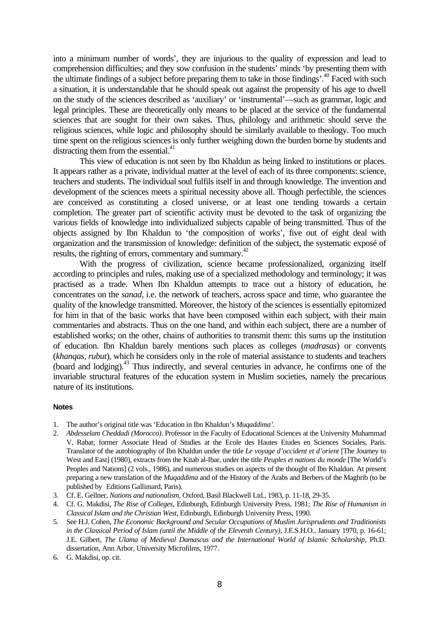into a minimum number of words', they are injurious to the quality of expression and lead to comprehension difficulties; and they sow confusion in the students' minds 'by presenting them with the ultimate findings of a subject before preparing them to take in those findings'.<sup>40</sup> Faced with such a situation, it is understandable that he should speak out against the propensity of his age to dwell on the study of the sciences described as 'auxiliary' or 'instrumental'—such as grammar, logic and legal principles. These are theoretically only means to be placed at the service of the fundamental sciences that are sought for their own sakes. Thus, philology and arithmetic should serve the religious sciences, while logic and philosophy should be similarly available to theology. Too much time spent on the religious sciences is only further weighing down the burden borne by students and distracting them from the essential. $41$ 

This view of education is not seen by Ibn Khaldun as being linked to institutions or places. It appears rather as a private, individual matter at the level of each of its three components: science, teachers and students. The individual soul fulfils itself in and through knowledge. The invention and development of the sciences meets a spiritual necessity above all. Though perfectible, the sciences are conceived as constituting a closed universe, or at least one tending towards a certain completion. The greater part of scientific activity must be devoted to the task of organizing the various fields of knowledge into individualized subjects capable of being transmitted. Thus of the objects assigned by Ibn Khaldun to 'the composition of works', five out of eight deal with organization and the transmission of knowledge: definition of the subject, the systematic exposé of results, the righting of errors, commentary and summary.<sup>42</sup>

With the progress of civilization, science became professionalized, organizing itself according to principles and rules, making use of a specialized methodology and terminology; it was practised as a trade. When Ibn Khaldun attempts to trace out a history of education, he concentrates on the *sanad*, i.e. the network of teachers, across space and time, who guarantee the quality of the knowledge transmitted. Moreover, the history of the sciences is essentially epitomized for him in that of the basic works that have been composed within each subject, with their main commentaries and abstracts. Thus on the one hand, and within each subject, there are a number of established works; on the other, chains of authorities to transmit them: this sums up the institution of education. Ibn Khaldun barely mentions such places as colleges (*madrasas*) or convents (*khanqas, rubut*), which he considers only in the role of material assistance to students and teachers (board and lodging). <sup>43</sup> Thus indirectly, and several centuries in advance, he confirms one of the invariable structural features of the education system in Muslim societies, namely the precarious nature of its institutions.

### **Notes**

- 1. The author's original title was 'Education in Ibn Khaldun's *Muqaddima'*.
- 2. *Abdesselam Cheddadi (Morocco)*. Professor in the Faculty of Educational Sciences at the University Muhammad V, Rabat; former Associate Head of Studies at the Ecole des Hautes Etudes en Sciences Sociales, Paris. Translator of the autobiography of Ibn Khaldun under the title *Le voyage d'occident et d'orient* [The Journey to West and East] (1980), extracts from the Kitab al-Ibar, under the title *Peuples et nations du monde* [The World's Peoples and Nations] (2 vols., 1986), and numerous studies on aspects of the thought of Ibn Khaldun. At present preparing a new translation of the *Muqaddima* and of the History of the Arabs and Berbers of the Maghrib (to be published by Editions Gallimard, Paris).
- 3. Cf. E. Gellner, *Nations and nationalism*, Oxford, Basil Blackwell Ltd., 1983, p. 11-18, 29-35.
- 4. Cf. G. Makdisi, *The Rise of Colleges*, Edinburgh, Edinburgh University Press, 1981; *The Rise of Humanism in Classical Islam and the Christian West*, Edinburgh, Edinburgh University Press, 1990.
- 5. See H.J. Cohen, *The Economic Background and Secular Occupations of Muslim Jurisprudents and Traditionists in the Classical Period of Islam (until the Middle of the Eleventh Century)*, J.E.S.H.O., January 1970, p. 16-61; J.E. Gilbert, *The Ulama of Medieval Damascus and the International World of Islamic Scholarship*, Ph.D. dissertation, Ann Arbor, University Microfilms, 1977.
- 6. G. Makdisi, op. cit.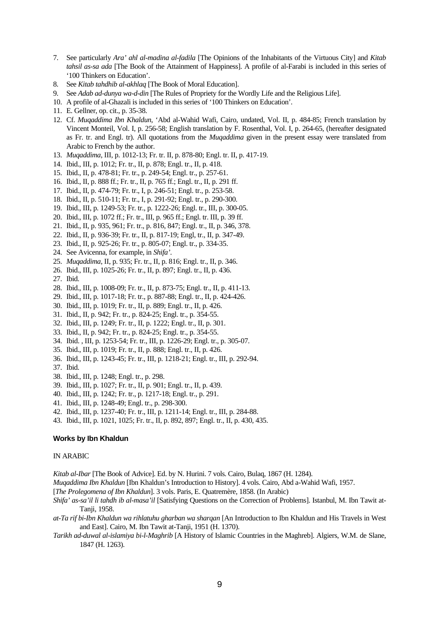- 7. See particularly *Ara' ahl al-madina al-fadila* [The Opinions of the Inhabitants of the Virtuous City] and *Kitab tahsil as-sa ada* [The Book of the Attainment of Happiness]. A profile of al-Farabi is included in this series of '100 Thinkers on Education'.
- 8. See *Kitab tahdhib al-akhlaq* [The Book of Moral Education].
- 9. See *Adab ad-dunya wa-d-din* [The Rules of Propriety for the Wordly Life and the Religious Life].
- 10. A profile of al-Ghazali is included in this series of '100 Thinkers on Education'.
- 11. E. Gellner, op. cit., p. 35-38.
- 12. Cf. *Muqaddima Ibn Khaldun*, 'Abd al-Wahid Wafi, Cairo, undated, Vol. II, p. 484-85; French translation by Vincent Monteil, Vol. I, p. 256-58; English translation by F. Rosenthal, Vol. I, p. 264-65, (hereafter designated as Fr. tr. and Engl. tr). All quotations from the *Muqaddima* given in the present essay were translated from Arabic to French by the author.
- 13. *Muqaddima*, III, p. 1012-13; Fr. tr. II, p. 878-80; Engl. tr. II, p. 417-19.
- 14. Ibid., III, p. 1012; Fr. tr., II, p. 878; Engl. tr., II, p. 418.
- 15. Ibid., II, p. 478-81; Fr. tr., p. 249-54; Engl. tr., p. 257-61.
- 16. Ibid., II, p. 888 ff.; Fr. tr., II, p. 765 ff.; Engl. tr., II, p. 291 ff.
- 17. Ibid., II, p. 474-79; Fr. tr., I, p. 246-51; Engl. tr., p. 253-58.
- 18. Ibid., II, p. 510-11; Fr. tr., I, p. 291-92; Engl. tr., p. 290-300.
- 19. Ibid., III, p. 1249-53; Fr. tr., p. 1222-26; Engl. tr., III, p. 300-05.
- 20. Ibid., III, p. 1072 ff.; Fr. tr., III, p. 965 ff.; Engl. tr. III, p. 39 ff.
- 21. Ibid., II, p. 935, 961; Fr. tr., p. 816, 847; Engl. tr., II, p. 346, 378.
- 22. Ibid., II, p. 936-39; Fr. tr., II, p. 817-19; Engl, tr., II, p. 347-49.
- 23. Ibid., II, p. 925-26; Fr. tr., p. 805-07; Engl. tr., p. 334-35.
- 24. See Avicenna, for example, in *Shifa'*.
- 25. *Muqaddima*, II, p. 935; Fr. tr., II, p. 816; Engl. tr., II, p. 346.
- 26. Ibid., III, p. 1025-26; Fr. tr., II, p. 897; Engl. tr., II, p. 436.
- 27. Ibid.
- 28. Ibid., III, p. 1008-09; Fr. tr., II, p. 873-75; Engl. tr., II, p. 411-13.
- 29. Ibid., III, p. 1017-18; Fr. tr., p. 887-88; Engl. tr., II, p. 424-426.
- 30. Ibid., III, p. 1019; Fr. tr., II, p. 889; Engl. tr., II, p. 426.
- 31. Ibid., II, p. 942; Fr. tr., p. 824-25; Engl. tr., p. 354-55.
- 32. Ibid., III, p. 1249; Fr. tr., II, p. 1222; Engl. tr., II, p. 301.
- 33. Ibid., II, p. 942; Fr. tr., p. 824-25; Engl. tr., p. 354-55.
- 34. Ibid. , III, p. 1253-54; Fr. tr., III, p. 1226-29; Engl. tr., p. 305-07.
- 35. Ibid., III, p. 1019; Fr. tr., II, p. 888; Engl. tr., II, p. 426.
- 36. Ibid., III, p. 1243-45; Fr. tr., III, p. 1218-21; Engl. tr., III, p. 292-94.
- 37. Ibid.
- 38. Ibid., III, p. 1248; Engl. tr., p. 298.
- 39. Ibid., III, p. 1027; Fr. tr., II, p. 901; Engl. tr., II, p. 439.
- 40. Ibid., III, p. 1242; Fr. tr., p. 1217-18; Engl. tr., p. 291.
- 41. Ibid., III, p. 1248-49; Engl. tr., p. 298-300.
- 42. Ibid., III, p. 1237-40; Fr. tr., III, p. 1211-14; Engl. tr., III, p. 284-88.
- 43. Ibid., III, p. 1021, 1025; Fr. tr., II, p. 892, 897; Engl. tr., II, p. 430, 435.

#### **Works by Ibn Khaldun**

#### IN ARABIC

- *Kitab al-Ibar* [The Book of Advice]. Ed. by N. Hurini. 7 vols. Cairo, Bulaq, 1867 (H. 1284).
- *Muqaddima Ibn Khaldun* [Ibn Khaldun's Introduction to History]. 4 vols. Cairo, Abd a-Wahid Wafi, 1957.
- [*The Prolegomena of Ibn Khaldun*]. 3 vols. Paris, E. Quatremère, 1858. (In Arabic)
- *Shifa' as-sa'il li tahdh ib al-masa'il* [Satisfying Questions on the Correction of Problems]. Istanbul, M. Ibn Tawit at-Tanji, 1958.
- *at-Ta rif bi-Ibn Khaldun wa rihlatuhu gharban wa sharqan* [An Introduction to Ibn Khaldun and His Travels in West and East]. Cairo, M. Ibn Tawit at-Tanji, 1951 (H. 1370).
- *Tarikh ad-duwal al-islamiya bi-l-Maghrib* [A History of Islamic Countries in the Maghreb]. Algiers, W.M. de Slane, 1847 (H. 1263).